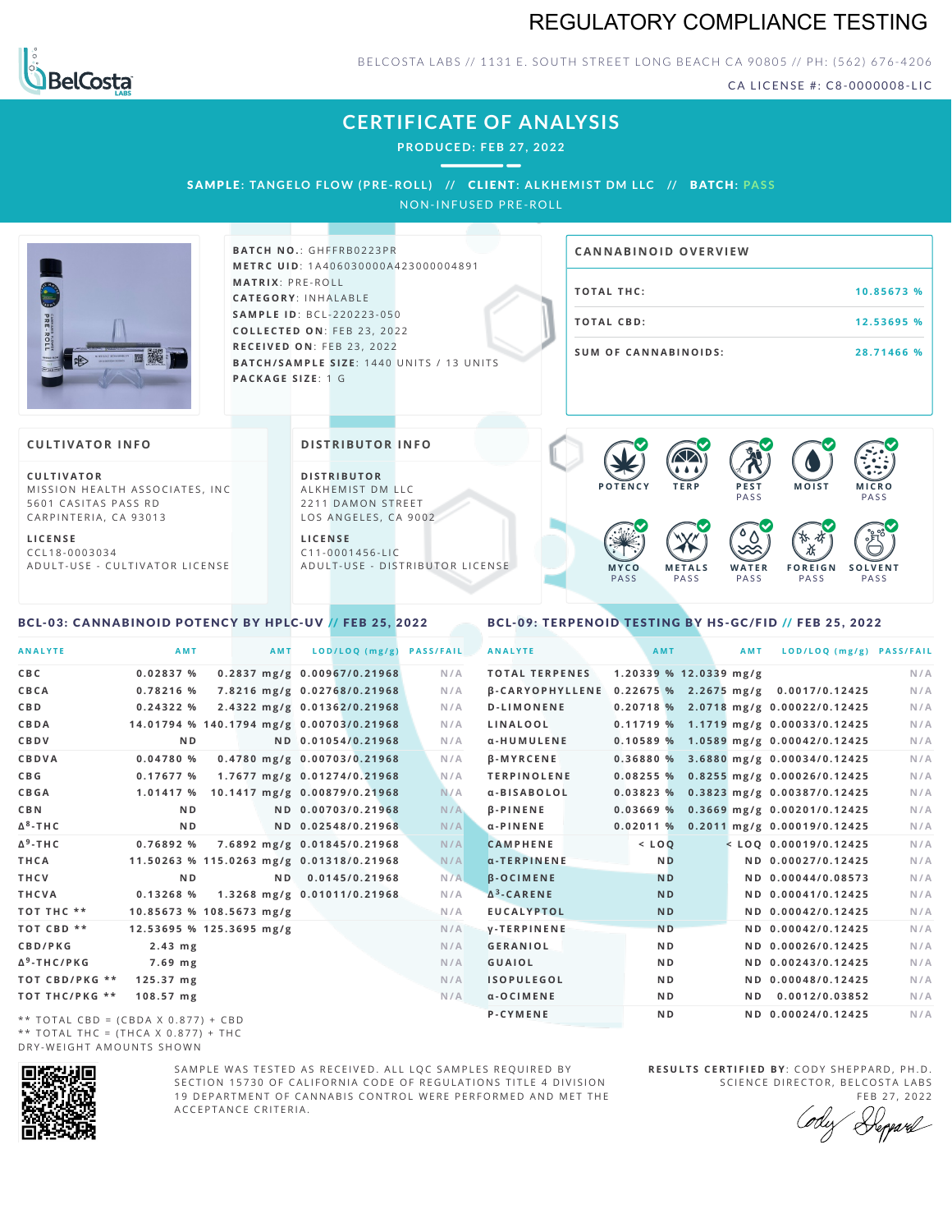# REGULATORY COMPLIANCE TESTING



BELCOSTA LABS // 1131 E. SOUTH STREET LONG BEACH CA 90805 // PH: (562) 676-4206

CA LICENSE #: C8-0000008-LIC

**M O IS T M IC R O PASS** 

**S O L V E N T** PA S S

# **CERTIFICATE OF ANALYSIS**

**PRODUCED: F EB 27, 2022**

SAMPLE: TANGELO FLOW (PRE-ROLL) // CLIENT: ALKHEMIST DM LLC // BATCH: PASS NON-INFUSED PRE-ROLL

**BATCH NO.: GHFFRB0223PR M E T R C U ID** :1 A 4 0 6 0 3 0 0 0 0 A 4 2 3 0 0 0 0 0 4 8 9 1 **M AT R I X** :P R E - R O L L **CAT E G O R Y** : I N H A L A B L E **SA M P L E I D** :B C L - 2 2 0 2 2 3 - 0 5 0 **C O L L E C T E D O N** :F E B 2 3 , 2 0 2 2 **R E C E I V E D O N** : F E B 2 3 , 2 0 2 2 **BATCH/SAMPLE SIZE:** 1440 UNITS / 13 UNITS **PAC KA G E S I Z E** : 1 G

# **T O TAL T H C :1 0 . 8 5 6 7 3 % T O TAL CB D :1 2 . 5 3 6 9 5 % S U M O F CA N N ABI N O I D S : 2 8 . 7 1 4 6 6 % CA N N ABI N OID OVERVI EW**

PA S S

 $\bullet$  60 60 60 60

 $\bullet$  0.0 0.0 0.0

**W A T E R** PA S S

**F O R E I G N** PA S S

祇

#### **CULTIVATOR I N FO**

**C U L T I VAT O R** MISSION HEALTH ASSOCIATES, INC. 5601 CASITAS PASS RD CARPINTERIA, CA 93013

**L I C E N S E** C C L 1 8 - 0 0 0 3 0 3 4 A D U L T - U S E - C U L T I V A T O R L I C E N S E

<span id="page-0-0"></span>BCL-03: CANNABINOID POTENCY BY HPLC-UV // FEB 25, 2022

#### **DI STRIBUTOR I N FO**

**D I S T R IB U T O R** ALKHEMIST DM LLC 2211 DAMON STREET LOS ANGELES, CA 9002

**L I C E N S E**  $C$  1 1 - 0 0 0 1 4 5 6 - L I C A D U L T - U S E - D I STRI B U T O R LICENSE

## <span id="page-0-1"></span>BCL-09: TERPENOID TESTING BY HS-GC/FID // FEB 25, 2022

**M E T A L S** PA S S

**M Y C O** PA S S

**P O T E N C Y T E R P P E S T**

| <b>ANALYTE</b>                      | AMT                                      | <b>AMT</b> | LOD/LOQ (mg/g)               | <b>PASS/FAIL</b> | <b>ANALYTE</b>                                       | AMT            |                          | AMT | LOD/LOQ (mg/g) PASS/FAIL                |     |
|-------------------------------------|------------------------------------------|------------|------------------------------|------------------|------------------------------------------------------|----------------|--------------------------|-----|-----------------------------------------|-----|
| C B C                               | 0.02837%                                 |            | 0.2837 mg/g 0.00967/0.21968  | N/A              | <b>TOTAL TERPENES</b>                                |                | $1.20339$ % 12.0339 mg/g |     |                                         | N/A |
| CBCA                                | 0.78216 %                                |            | 7.8216 mg/g 0.02768/0.21968  | N/A              | β-CARYOPHYLLENE 0.22675 % 2.2675 mg/g 0.0017/0.12425 |                |                          |     |                                         | N/A |
| C B D                               | 0.24322%                                 |            | 2.4322 mg/g 0.01362/0.21968  | N/A              | <b>D-LIMONENE</b>                                    |                |                          |     | 0.20718 % 2.0718 mg/g 0.00022/0.12425   | N/A |
| CBDA                                | 14.01794 % 140.1794 mg/g 0.00703/0.21968 |            |                              | N/A              | LINALOOL                                             |                |                          |     | 0.11719 % 1.1719 mg/g 0.00033/0.12425   | N/A |
| <b>CBDV</b>                         | N <sub>D</sub>                           |            | ND 0.01054/0.21968           | N/A              | α-HUMULENE                                           |                |                          |     | $0.10589\%$ 1.0589 mg/g 0.00042/0.12425 | N/A |
| <b>CBDVA</b>                        | 0.04780%                                 |            | 0.4780 mg/g 0.00703/0.21968  | N/A              | <b>B-MYRCENE</b>                                     |                |                          |     | 0.36880 % 3.6880 mg/g 0.00034/0.12425   | N/A |
| C B G                               | 0.17677%                                 |            | 1.7677 mg/g 0.01274/0.21968  | N/A              | <b>TERPINOLENE</b>                                   |                |                          |     | 0.08255 % 0.8255 mg/g 0.00026/0.12425   | N/A |
| <b>CBGA</b>                         | 1.01417 %                                |            | 10.1417 mg/g 0.00879/0.21968 | N/A              | α-BISABOLOL                                          |                |                          |     | 0.03823 % 0.3823 mg/g 0.00387/0.12425   | N/A |
| C B N                               | N <sub>D</sub>                           |            | ND 0.00703/0.21968           | N/A              | <b>B-PINENE</b>                                      |                |                          |     | $0.03669$ % 0.3669 mg/g 0.00201/0.12425 | N/A |
| Δ <sup>8</sup> -ΤΗ C                | N <sub>D</sub>                           |            | ND 0.02548/0.21968           | N/A              | $\alpha$ - PINENE                                    |                |                          |     | 0.02011 % 0.2011 mg/g 0.00019/0.12425   | N/A |
| Δ <sup>9</sup> -ΤΗ C                | 0.76892 %                                |            | 7.6892 mg/g 0.01845/0.21968  | N/A              | <b>CAMPHENE</b>                                      | $<$ LOQ        |                          |     | $<$ LOO 0.00019/0.12425                 | N/A |
| THCA                                | 11.50263 % 115.0263 mg/g 0.01318/0.21968 |            |                              | N/A              | $\alpha$ -TERPINENE                                  | <b>ND</b>      |                          |     | ND 0.00027/0.12425                      | N/A |
| THCV                                | N <sub>D</sub>                           |            | ND 0.0145/0.21968            | N/A              | <b>B-OCIMENE</b>                                     | <b>ND</b>      |                          |     | ND 0.00044/0.08573                      | N/A |
| THCVA                               | 0.13268%                                 |            | 1.3268 mg/g 0.01011/0.21968  | N/A              | $\Delta^3$ -CARENE                                   | <b>ND</b>      |                          |     | ND 0.00041/0.12425                      | N/A |
| тот тнс **                          | 10.85673 % 108.5673 mg/g                 |            |                              | N/A              | <b>EUCALYPTOL</b>                                    | <b>ND</b>      |                          |     | ND 0.00042/0.12425                      | N/A |
| TOT CBD **                          | 12.53695 % 125.3695 mg/g                 |            |                              | N/A              | <b>V-TERPINENE</b>                                   | <b>ND</b>      |                          |     | ND 0.00042/0.12425                      | N/A |
| <b>CBD/PKG</b>                      | $2.43$ mg                                |            |                              | N/A              | <b>GERANIOL</b>                                      | N <sub>D</sub> |                          |     | ND 0.00026/0.12425                      | N/A |
| Δ <sup>9</sup> -THC/PKG             | 7.69 mg                                  |            |                              | N/A              | <b>GUAIOL</b>                                        | ND.            |                          |     | ND 0.00243/0.12425                      | N/A |
| ТОТ СВD/РКG **                      | $125.37$ mg                              |            |                              | N/A              | <b>ISOPULEGOL</b>                                    | N <sub>D</sub> |                          |     | ND 0.00048/0.12425                      | N/A |
| ТОТ ТНС/РКG **                      | 108.57 mg                                |            |                              | N/A              | $\alpha$ -OCIMENE                                    | N <sub>D</sub> |                          |     | ND 0.0012/0.03852                       | N/A |
| ** TOTAL CBD = (CBDA X 0.877) + CBD |                                          |            |                              |                  | P-CYMENE                                             | N <sub>D</sub> |                          |     | ND 0.00024/0.12425                      | N/A |
|                                     |                                          |            |                              |                  |                                                      |                |                          |     |                                         |     |

\*\* TOTAL CBD = (CBDA X 0.877) + CBD \*\* TOTAL THC =  $(THCA X 0.877) + THC$ DRY-WEIGHT AMOUNTS SHOWN



SAMPLE WAS TESTED AS RECEIVED. ALL LOC SAMPLES REQUIRED BY SECTION 15730 OF CALIFORNIA CODE OF REGULATIONS TITLE 4 DIVISION 19 DEPARTMENT OF CANNABIS CONTROL WERE PERFORMED AND MET THE A C C E P T A N C E C R I T E R I A .

**R E S U L T S C E R T I F I E D BY** : C O D Y S H E P P A R D ,P H .D . SCIENCE DIRECTOR, BELCOSTA LABS

FEB 27, 2022 Depard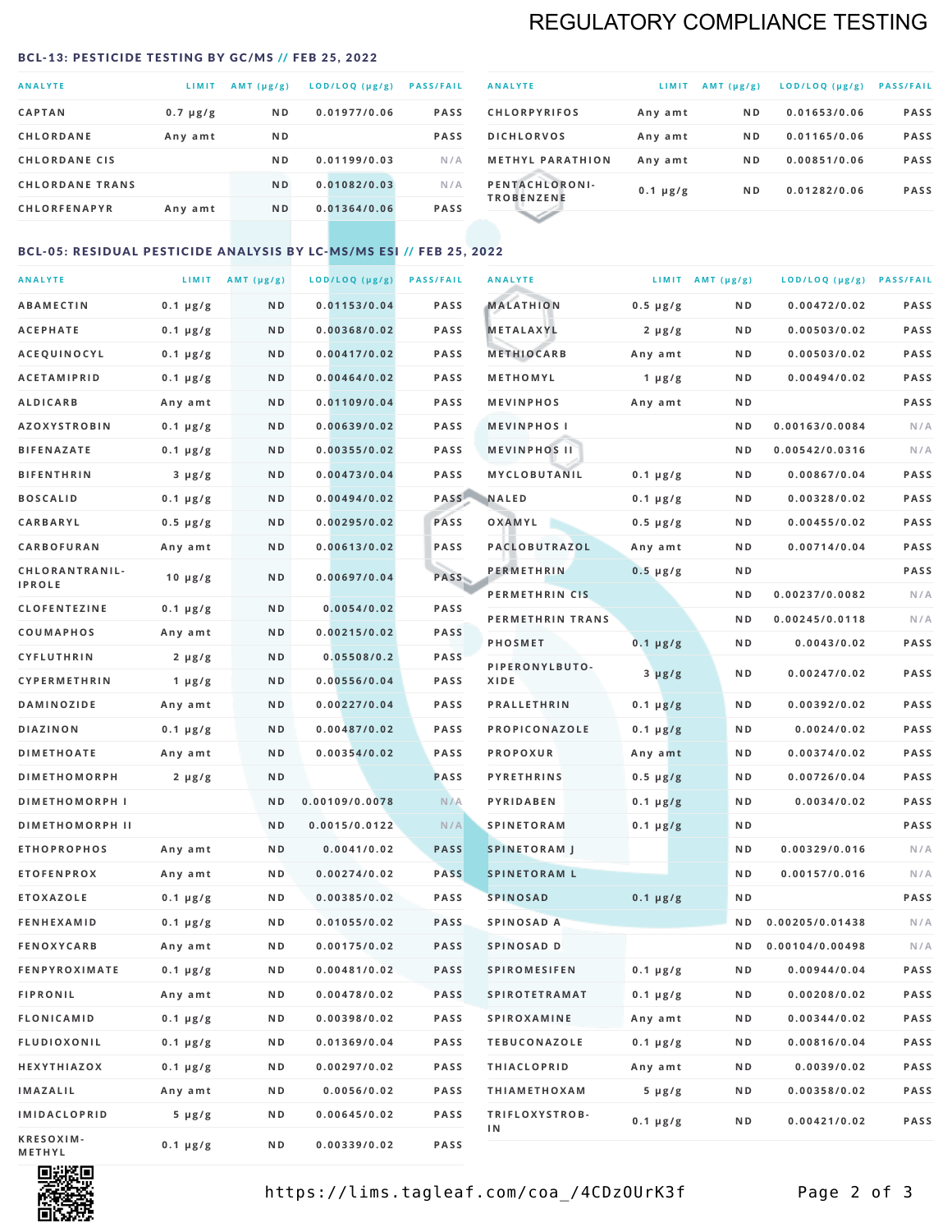# REGULATORY COMPLIANCE TESTING

#### <span id="page-1-0"></span>BCL-13: PESTICIDE TESTING BY GC/MS // FEB 25, 2022

| <b>ANALYTE</b>         | LIMIT         | $AMT(\mu g/g)$ | LOD/LOQ (µg/g) | <b>PASS/FAIL</b> |
|------------------------|---------------|----------------|----------------|------------------|
| <b>CAPTAN</b>          | $0.7 \mu g/g$ | N <sub>D</sub> | 0.01977/0.06   | <b>PASS</b>      |
| <b>CHLORDANE</b>       | Any amt       | N <sub>D</sub> |                | <b>PASS</b>      |
| <b>CHLORDANE CIS</b>   |               | ND.            | 0.01199/0.03   | N/A              |
| <b>CHLORDANE TRANS</b> |               | N <sub>D</sub> | 0.01082/0.03   | N/A              |
| <b>CHLORFENAPYR</b>    | Any amt       | N <sub>D</sub> | 0.01364/0.06   | <b>PASS</b>      |
|                        |               |                |                |                  |

| <b>ANALYTE</b>                      | LIMIT         | $AMT (\mu g/g)$ | LOD/LOQ (µg/g) | <b>PASS/FAIL</b> |
|-------------------------------------|---------------|-----------------|----------------|------------------|
| <b>CHLORPYRIFOS</b>                 | Any amt       | N <sub>D</sub>  | 0.01653/0.06   | <b>PASS</b>      |
| <b>DICHLORVOS</b>                   | Any amt       | N <sub>D</sub>  | 0.01165/0.06   | <b>PASS</b>      |
| <b>METHYL PARATHION</b>             | Any amt       | N <sub>D</sub>  | 0.00851/0.06   | <b>PASS</b>      |
| PENTACHLORONI-<br><b>TROBENZENE</b> | $0.1 \mu g/g$ | N <sub>D</sub>  | 0.01282/0.06   | <b>PASS</b>      |
|                                     |               |                 |                |                  |

### BCL-05: RESIDUAL PESTICIDE ANALYSIS BY LC-MS/MS ESI // FEB 25, 2022

| <b>ANALYTE</b>             |               | LIMIT $AMT(\mu g/g)$ | LOD/LOQ (µg/g) | <b>PASS/FAIL</b> | <b>ANALYTE</b>       |                  | LIMIT AMT $(\mu g/g)$ | LOD/LOQ (µg/g) PASS/FAIL |      |
|----------------------------|---------------|----------------------|----------------|------------------|----------------------|------------------|-----------------------|--------------------------|------|
| <b>ABAMECTIN</b>           | $0.1 \mu g/g$ | N D                  | 0.01153/0.04   | <b>PASS</b>      | <b>MALATHION</b>     | $0.5 \mu g/g$    | N D                   | 0.00472/0.02             | PASS |
| <b>ACEPHATE</b>            | $0.1 \mu g/g$ | N D                  | 0.00368/0.02   | <b>PASS</b>      | <b>METALAXYL</b>     | $2 \mu g/g$      | N D                   | 0.00503/0.02             | PASS |
| ACEQUINOCYL                | $0.1 \mu g/g$ | N D                  | 0.00417/0.02   | <b>PASS</b>      | <b>METHIOCARB</b>    | Any amt          | N D                   | 0.00503/0.02             | PASS |
| <b>ACETAMIPRID</b>         | $0.1 \mu g/g$ | N D                  | 0.00464/0.02   | <b>PASS</b>      | METHOMYL             | 1 $\mu$ g/g      | N D                   | 0.00494/0.02             | PASS |
| <b>ALDICARB</b>            | Any amt       | N D                  | 0.01109/0.04   | <b>PASS</b>      | <b>MEVINPHOS</b>     | Any amt          | N D                   |                          | PASS |
| <b>AZOXYSTROBIN</b>        | $0.1 \mu g/g$ | N D                  | 0.00639/0.02   | <b>PASS</b>      | <b>MEVINPHOSI</b>    |                  | N D                   | 0.00163/0.0084           | N/A  |
| <b>BIFENAZATE</b>          | $0.1 \mu g/g$ | N D                  | 0.00355/0.02   | <b>PASS</b>      | <b>MEVINPHOS II</b>  |                  | N D                   | 0.00542/0.0316           | N/A  |
| <b>BIFENTHRIN</b>          | $3 \mu g/g$   | N D                  | 0.00473/0.04   | <b>PASS</b>      | <b>MYCLOBUTANIL</b>  | $0.1 \mu g/g$    | N D                   | 0.00867/0.04             | PASS |
| <b>BOSCALID</b>            | $0.1 \mu g/g$ | N D                  | 0.00494/0.02   | PASS             | <b>NALED</b>         | $0.1 \mu g/g$    | N D                   | 0.00328/0.02             | PASS |
| CARBARYL                   | $0.5 \mu g/g$ | N D                  | 0.00295/0.02   | PASS             | OXAMYL               | $0.5 \, \mu g/g$ | N D                   | 0.00455/0.02             | PASS |
| CARBOFURAN                 | Any amt       | N D                  | 0.00613/0.02   | <b>PASS</b>      | PACLOBUTRAZOL        | Any amt          | N D                   | 0.00714/0.04             | PASS |
| CHLORANTRANIL-             | $10 \mu g/g$  | N D                  | 0.00697/0.04   | PASS             | <b>PERMETHRIN</b>    | $0.5 \mu g/g$    | N D                   |                          | PASS |
| <b>IPROLE</b>              |               |                      |                |                  | PERMETHRIN CIS       |                  | N D                   | 0.00237/0.0082           | N/A  |
| <b>CLOFENTEZINE</b>        | $0.1 \mu g/g$ | N D                  | 0.0054/0.02    | <b>PASS</b>      | PERMETHRIN TRANS     |                  | N D                   | 0.00245/0.0118           | N/A  |
| <b>COUMAPHOS</b>           | Any amt       | N D                  | 0.00215/0.02   | <b>PASS</b>      | <b>PHOSMET</b>       | $0.1 \, \mu g/g$ | N D                   | 0.0043/0.02              | PASS |
| <b>CYFLUTHRIN</b>          | $2 \mu g/g$   | N D                  | 0.05508/0.2    | <b>PASS</b>      | PIPERONYLBUTO-       | $3 \mu g/g$      | N D                   | 0.00247/0.02             | PASS |
| CYPERMETHRIN               | 1 $\mu$ g/g   | N D                  | 0.00556/0.04   | <b>PASS</b>      | XIDE                 |                  |                       |                          |      |
| <b>DAMINOZIDE</b>          | Any amt       | N D                  | 0.00227/0.04   | <b>PASS</b>      | <b>PRALLETHRIN</b>   | $0.1 \mu g/g$    | N D                   | 0.00392/0.02             | PASS |
| <b>DIAZINON</b>            | $0.1 \mu g/g$ | N D                  | 0.00487/0.02   | <b>PASS</b>      | PROPICONAZOLE        | $0.1 \mu g/g$    | N D                   | 0.0024/0.02              | PASS |
| <b>DIMETHOATE</b>          | Any amt       | N D                  | 0.00354/0.02   | <b>PASS</b>      | <b>PROPOXUR</b>      | Any amt          | N D                   | 0.00374/0.02             | PASS |
| <b>DIMETHOMORPH</b>        | $2 \mu g/g$   | ND                   |                | PASS             | <b>PYRETHRINS</b>    | $0.5 \mu g/g$    | N D                   | 0.00726/0.04             | PASS |
| <b>DIMETHOMORPH I</b>      |               | ND                   | 0.00109/0.0078 | N/A              | <b>PYRIDABEN</b>     | $0.1 \mu g/g$    | N D                   | 0.0034/0.02              | PASS |
| <b>DIMETHOMORPH II</b>     |               | ND                   | 0.0015/0.0122  | N/A              | <b>SPINETORAM</b>    | $0.1 \mu g/g$    | N D                   |                          | PASS |
| <b>ETHOPROPHOS</b>         | Any amt       | N D                  | 0.0041/0.02    | <b>PASS</b>      | <b>SPINETORAM J</b>  |                  | N D                   | 0.00329/0.016            | N/A  |
| <b>ETOFENPROX</b>          | Any amt       | N D                  | 0.00274/0.02   | <b>PASS</b>      | <b>SPINETORAM L</b>  |                  | N D                   | 0.00157/0.016            | N/A  |
| <b>ETOXAZOLE</b>           | $0.1 \mu g/g$ | N D                  | 0.00385/0.02   | <b>PASS</b>      | <b>SPINOSAD</b>      | $0.1 \mu g/g$    | N D                   |                          | PASS |
| <b>FENHEXAMID</b>          | $0.1 \mu g/g$ | N D                  | 0.01055/0.02   | <b>PASS</b>      | SPINOSAD A           |                  | N D                   | 0.00205/0.01438          | N/A  |
| <b>FENOXYCARB</b>          | Any amt       | N D                  | 0.00175/0.02   | <b>PASS</b>      | SPINOSAD D           |                  | ND.                   | 0.00104/0.00498          | N/A  |
| <b>FENPYROXIMATE</b>       | $0.1 \mu g/g$ | N D                  | 0.00481/0.02   | <b>PASS</b>      | <b>SPIROMESIFEN</b>  | $0.1 \, \mu g/g$ | N D                   | 0.00944/0.04             | PASS |
| <b>FIPRONIL</b>            | Any amt       | N D                  | 0.00478/0.02   | PASS             | <b>SPIROTETRAMAT</b> | $0.1 \mu g/g$    | N D                   | 0.00208/0.02             | PASS |
| <b>FLONICAMID</b>          | $0.1 \mu g/g$ | N D                  | 0.00398/0.02   | PASS             | <b>SPIROXAMINE</b>   | Any amt          | N D                   | 0.00344/0.02             | PASS |
| <b>FLUDIOXONIL</b>         | $0.1 \mu g/g$ | N D                  | 0.01369/0.04   | PASS             | <b>TEBUCONAZOLE</b>  | $0.1 \mu g/g$    | N D                   | 0.00816/0.04             | PASS |
| HEXYTHIAZOX                | 0.1 µg/g      | N D                  | 0.00297/0.02   | PASS             | <b>THIACLOPRID</b>   | Any amt          | N D                   | 0.0039/0.02              | PASS |
| <b>IMAZALIL</b>            | Any amt       | N D                  | 0.0056/0.02    | PASS             | <b>THIAMETHOXAM</b>  | $5 \mu g/g$      | N D                   | 0.00358/0.02             | PASS |
| <b>IMIDACLOPRID</b>        | $5 \mu g/g$   | N D                  | 0.00645/0.02   | PASS             | TRIFLOXYSTROB-<br>1N | $0.1 \mu g/g$    | N D                   | 0.00421/0.02             | PASS |
| KRESOXIM-<br><b>METHYL</b> | $0.1 \mu g/g$ | N D                  | 0.00339/0.02   | PASS             |                      |                  |                       |                          |      |